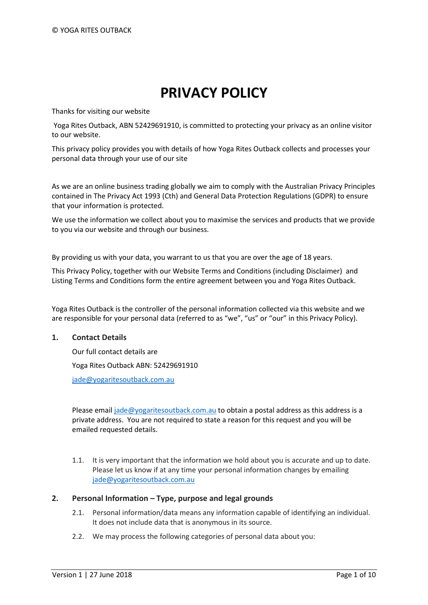# **PRIVACY POLICY**

Thanks for visiting our website

Yoga Rites Outback, ABN 52429691910, is committed to protecting your privacy as an online visitor to our website.

This privacy policy provides you with details of how Yoga Rites Outback collects and processes your personal data through your use of our site

As we are an online business trading globally we aim to comply with the Australian Privacy Principles contained in The Privacy Act 1993 (Cth) and General Data Protection Regulations (GDPR) to ensure that your information is protected.

We use the information we collect about you to maximise the services and products that we provide to you via our website and through our business.

By providing us with your data, you warrant to us that you are over the age of 18 years.

This Privacy Policy, together with our Website Terms and Conditions (including Disclaimer) and Listing Terms and Conditions form the entire agreement between you and Yoga Rites Outback.

Yoga Rites Outback is the controller of the personal information collected via this website and we are responsible for your personal data (referred to as "we", "us" or "our" in this Privacy Policy).

## **1. Contact Details**

Our full contact details are Yoga Rites Outback ABN: 52429691910 [jade@yogaritesoutback.com.au](mailto:jade@yogaritesoutback.com.au)

Please email [jade@yogaritesoutback.com.au](mailto:jade@yogaritesoutback.com.au) to obtain a postal address as this address is a private address. You are not required to state a reason for this request and you will be emailed requested details.

1.1. It is very important that the information we hold about you is accurate and up to date. Please let us know if at any time your personal information changes by emailing [jade@yogaritesoutback.com.au](mailto:jade@yogaritesoutback.com.au)

# **2. Personal Information – Type, purpose and legal grounds**

- 2.1. Personal information/data means any information capable of identifying an individual. It does not include data that is anonymous in its source.
- 2.2. We may process the following categories of personal data about you: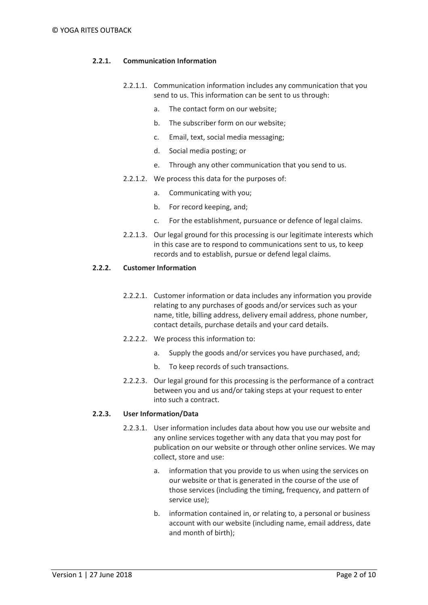# **2.2.1. Communication Information**

- 2.2.1.1. Communication information includes any communication that you send to us. This information can be sent to us through:
	- a. The contact form on our website;
	- b. The subscriber form on our website;
	- c. Email, text, social media messaging;
	- d. Social media posting; or
	- e. Through any other communication that you send to us.
- 2.2.1.2. We process this data for the purposes of:
	- a. Communicating with you;
	- b. For record keeping, and;
	- c. For the establishment, pursuance or defence of legal claims.
- 2.2.1.3. Our legal ground for this processing is our legitimate interests which in this case are to respond to communications sent to us, to keep records and to establish, pursue or defend legal claims.

#### **2.2.2. Customer Information**

- 2.2.2.1. Customer information or data includes any information you provide relating to any purchases of goods and/or services such as your name, title, billing address, delivery email address, phone number, contact details, purchase details and your card details.
- 2.2.2.2. We process this information to:
	- a. Supply the goods and/or services you have purchased, and;
	- b. To keep records of such transactions.
- 2.2.2.3. Our legal ground for this processing is the performance of a contract between you and us and/or taking steps at your request to enter into such a contract.

## **2.2.3. User Information/Data**

- 2.2.3.1. User information includes data about how you use our website and any online services together with any data that you may post for publication on our website or through other online services. We may collect, store and use:
	- a. information that you provide to us when using the services on our website or that is generated in the course of the use of those services (including the timing, frequency, and pattern of service use);
	- b. information contained in, or relating to, a personal or business account with our website (including name, email address, date and month of birth);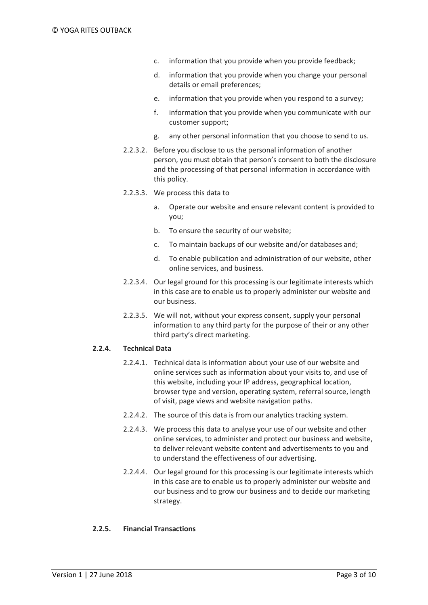- c. information that you provide when you provide feedback;
- d. information that you provide when you change your personal details or email preferences;
- e. information that you provide when you respond to a survey;
- f. information that you provide when you communicate with our customer support;
- g. any other personal information that you choose to send to us.
- 2.2.3.2. Before you disclose to us the personal information of another person, you must obtain that person's consent to both the disclosure and the processing of that personal information in accordance with this policy.
- 2.2.3.3. We process this data to
	- a. Operate our website and ensure relevant content is provided to you;
	- b. To ensure the security of our website;
	- c. To maintain backups of our website and/or databases and;
	- d. To enable publication and administration of our website, other online services, and business.
- 2.2.3.4. Our legal ground for this processing is our legitimate interests which in this case are to enable us to properly administer our website and our business.
- 2.2.3.5. We will not, without your express consent, supply your personal information to any third party for the purpose of their or any other third party's direct marketing.

## **2.2.4. Technical Data**

- 2.2.4.1. Technical data is information about your use of our website and online services such as information about your visits to, and use of this website, including your IP address, geographical location, browser type and version, operating system, referral source, length of visit, page views and website navigation paths.
- 2.2.4.2. The source of this data is from our analytics tracking system.
- 2.2.4.3. We process this data to analyse your use of our website and other online services, to administer and protect our business and website, to deliver relevant website content and advertisements to you and to understand the effectiveness of our advertising.
- 2.2.4.4. Our legal ground for this processing is our legitimate interests which in this case are to enable us to properly administer our website and our business and to grow our business and to decide our marketing strategy.

## **2.2.5. Financial Transactions**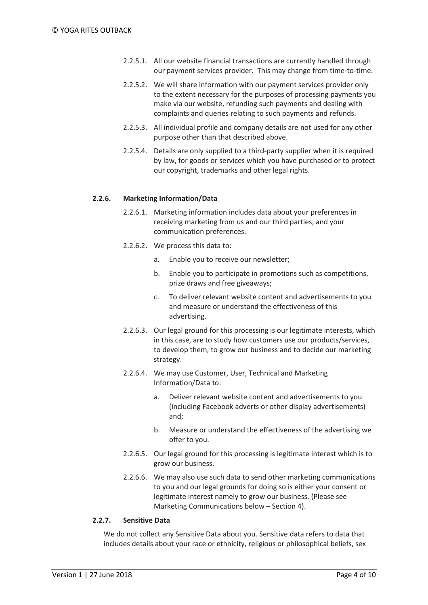- 2.2.5.1. All our website financial transactions are currently handled through our payment services provider. This may change from time-to-time.
- 2.2.5.2. We will share information with our payment services provider only to the extent necessary for the purposes of processing payments you make via our website, refunding such payments and dealing with complaints and queries relating to such payments and refunds.
- 2.2.5.3. All individual profile and company details are not used for any other purpose other than that described above.
- 2.2.5.4. Details are only supplied to a third-party supplier when it is required by law, for goods or services which you have purchased or to protect our copyright, trademarks and other legal rights.

## **2.2.6. Marketing Information/Data**

- 2.2.6.1. Marketing information includes data about your preferences in receiving marketing from us and our third parties, and your communication preferences.
- 2.2.6.2. We process this data to:
	- a. Enable you to receive our newsletter;
	- b. Enable you to participate in promotions such as competitions, prize draws and free giveaways;
	- c. To deliver relevant website content and advertisements to you and measure or understand the effectiveness of this advertising.
- 2.2.6.3. Our legal ground for this processing is our legitimate interests, which in this case, are to study how customers use our products/services, to develop them, to grow our business and to decide our marketing strategy.
- 2.2.6.4. We may use Customer, User, Technical and Marketing Information/Data to:
	- a. Deliver relevant website content and advertisements to you (including Facebook adverts or other display advertisements) and;
	- b. Measure or understand the effectiveness of the advertising we offer to you.
- 2.2.6.5. Our legal ground for this processing is legitimate interest which is to grow our business.
- 2.2.6.6. We may also use such data to send other marketing communications to you and our legal grounds for doing so is either your consent or legitimate interest namely to grow our business. (Please see Marketing Communications below – Section 4).

## **2.2.7. Sensitive Data**

We do not collect any Sensitive Data about you. Sensitive data refers to data that includes details about your race or ethnicity, religious or philosophical beliefs, sex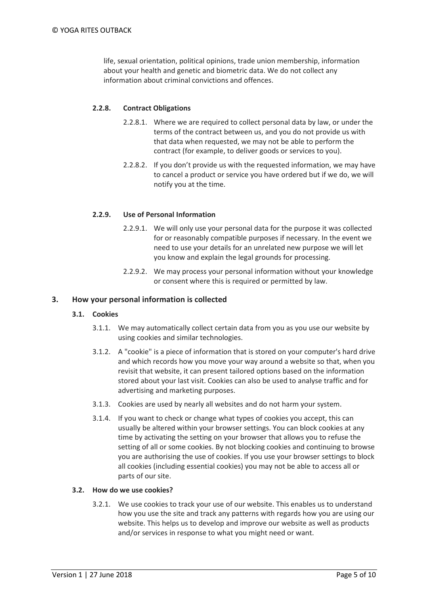life, sexual orientation, political opinions, trade union membership, information about your health and genetic and biometric data. We do not collect any information about criminal convictions and offences.

# **2.2.8. Contract Obligations**

- 2.2.8.1. Where we are required to collect personal data by law, or under the terms of the contract between us, and you do not provide us with that data when requested, we may not be able to perform the contract (for example, to deliver goods or services to you).
- 2.2.8.2. If you don't provide us with the requested information, we may have to cancel a product or service you have ordered but if we do, we will notify you at the time.

## **2.2.9. Use of Personal Information**

- 2.2.9.1. We will only use your personal data for the purpose it was collected for or reasonably compatible purposes if necessary. In the event we need to use your details for an unrelated new purpose we will let you know and explain the legal grounds for processing.
- 2.2.9.2. We may process your personal information without your knowledge or consent where this is required or permitted by law.

#### **3. How your personal information is collected**

#### **3.1. Cookies**

- 3.1.1. We may automatically collect certain data from you as you use our website by using cookies and similar technologies.
- 3.1.2. A "cookie" is a piece of information that is stored on your computer's hard drive and which records how you move your way around a website so that, when you revisit that website, it can present tailored options based on the information stored about your last visit. Cookies can also be used to analyse traffic and for advertising and marketing purposes.
- 3.1.3. Cookies are used by nearly all websites and do not harm your system.
- 3.1.4. If you want to check or change what types of cookies you accept, this can usually be altered within your browser settings. You can block cookies at any time by activating the setting on your browser that allows you to refuse the setting of all or some cookies. By not blocking cookies and continuing to browse you are authorising the use of cookies. If you use your browser settings to block all cookies (including essential cookies) you may not be able to access all or parts of our site.

#### **3.2. How do we use cookies?**

3.2.1. We use cookies to track your use of our website. This enables us to understand how you use the site and track any patterns with regards how you are using our website. This helps us to develop and improve our website as well as products and/or services in response to what you might need or want.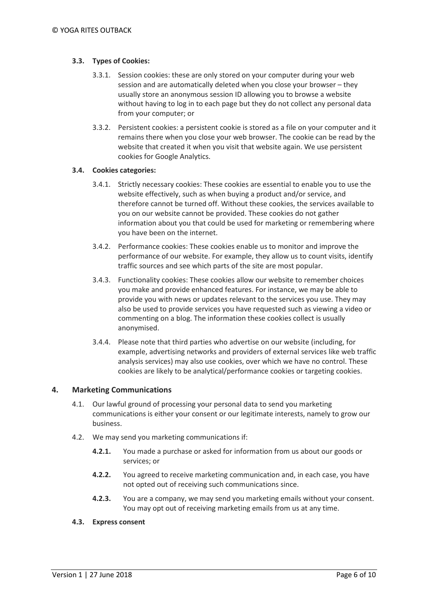# **3.3. Types of Cookies:**

- 3.3.1. Session cookies: these are only stored on your computer during your web session and are automatically deleted when you close your browser – they usually store an anonymous session ID allowing you to browse a website without having to log in to each page but they do not collect any personal data from your computer; or
- 3.3.2. Persistent cookies: a persistent cookie is stored as a file on your computer and it remains there when you close your web browser. The cookie can be read by the website that created it when you visit that website again. We use persistent cookies for Google Analytics.

# **3.4. Cookies categories:**

- 3.4.1. Strictly necessary cookies: These cookies are essential to enable you to use the website effectively, such as when buying a product and/or service, and therefore cannot be turned off. Without these cookies, the services available to you on our website cannot be provided. These cookies do not gather information about you that could be used for marketing or remembering where you have been on the internet.
- 3.4.2. Performance cookies: These cookies enable us to monitor and improve the performance of our website. For example, they allow us to count visits, identify traffic sources and see which parts of the site are most popular.
- 3.4.3. Functionality cookies: These cookies allow our website to remember choices you make and provide enhanced features. For instance, we may be able to provide you with news or updates relevant to the services you use. They may also be used to provide services you have requested such as viewing a video or commenting on a blog. The information these cookies collect is usually anonymised.
- 3.4.4. Please note that third parties who advertise on our website (including, for example, advertising networks and providers of external services like web traffic analysis services) may also use cookies, over which we have no control. These cookies are likely to be analytical/performance cookies or targeting cookies.

# **4. Marketing Communications**

- 4.1. Our lawful ground of processing your personal data to send you marketing communications is either your consent or our legitimate interests, namely to grow our business.
- 4.2. We may send you marketing communications if:
	- **4.2.1.** You made a purchase or asked for information from us about our goods or services; or
	- **4.2.2.** You agreed to receive marketing communication and, in each case, you have not opted out of receiving such communications since.
	- **4.2.3.** You are a company, we may send you marketing emails without your consent. You may opt out of receiving marketing emails from us at any time.

## **4.3. Express consent**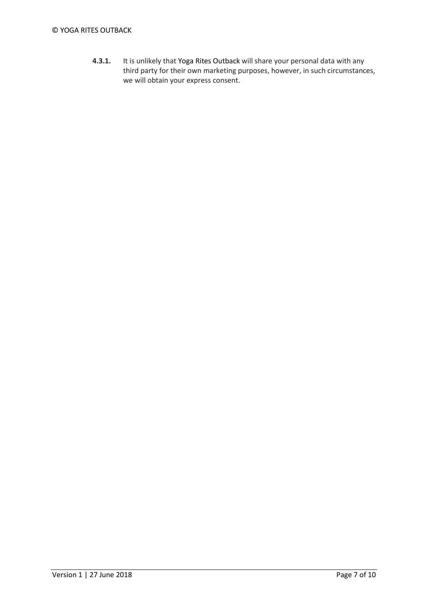# © YOGA RITES OUTBACK

**4.3.1.** It is unlikely that Yoga Rites Outback will share your personal data with any third party for their own marketing purposes, however, in such circumstances, we will obtain your express consent.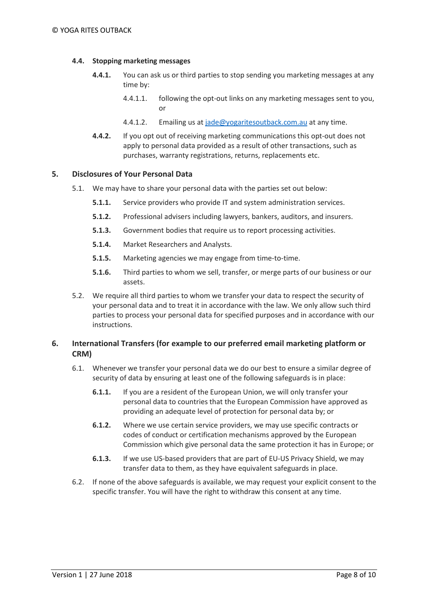# **4.4. Stopping marketing messages**

- **4.4.1.** You can ask us or third parties to stop sending you marketing messages at any time by:
	- 4.4.1.1. following the opt-out links on any marketing messages sent to you, or
	- 4.4.1.2. Emailing us at [jade@yogaritesoutback.com.au](mailto:jade@yogaritesoutback.com.au) at any time.
- **4.4.2.** If you opt out of receiving marketing communications this opt-out does not apply to personal data provided as a result of other transactions, such as purchases, warranty registrations, returns, replacements etc.

## **5. Disclosures of Your Personal Data**

- 5.1. We may have to share your personal data with the parties set out below:
	- **5.1.1.** Service providers who provide IT and system administration services.
	- **5.1.2.** Professional advisers including lawyers, bankers, auditors, and insurers.
	- **5.1.3.** Government bodies that require us to report processing activities.
	- **5.1.4.** Market Researchers and Analysts.
	- **5.1.5.** Marketing agencies we may engage from time-to-time.
	- **5.1.6.** Third parties to whom we sell, transfer, or merge parts of our business or our assets.
- 5.2. We require all third parties to whom we transfer your data to respect the security of your personal data and to treat it in accordance with the law. We only allow such third parties to process your personal data for specified purposes and in accordance with our instructions.

# **6. International Transfers (for example to our preferred email marketing platform or CRM)**

- 6.1. Whenever we transfer your personal data we do our best to ensure a similar degree of security of data by ensuring at least one of the following safeguards is in place:
	- **6.1.1.** If you are a resident of the European Union, we will only transfer your personal data to countries that the European Commission have approved as providing an adequate level of protection for personal data by; or
	- **6.1.2.** Where we use certain service providers, we may use specific contracts or codes of conduct or certification mechanisms approved by the European Commission which give personal data the same protection it has in Europe; or
	- **6.1.3.** If we use US-based providers that are part of EU-US Privacy Shield, we may transfer data to them, as they have equivalent safeguards in place.
- 6.2. If none of the above safeguards is available, we may request your explicit consent to the specific transfer. You will have the right to withdraw this consent at any time.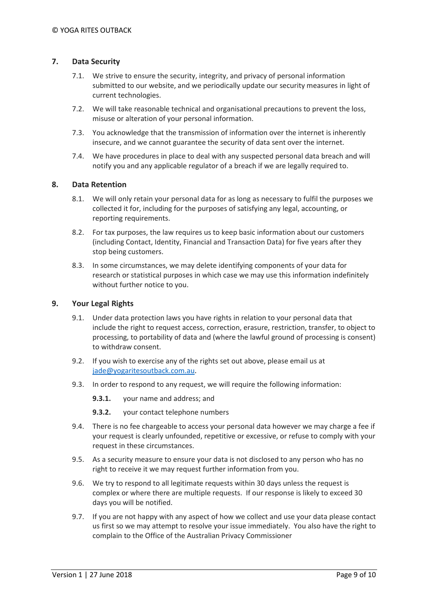# **7. Data Security**

- 7.1. We strive to ensure the security, integrity, and privacy of personal information submitted to our website, and we periodically update our security measures in light of current technologies.
- 7.2. We will take reasonable technical and organisational precautions to prevent the loss, misuse or alteration of your personal information.
- 7.3. You acknowledge that the transmission of information over the internet is inherently insecure, and we cannot guarantee the security of data sent over the internet.
- 7.4. We have procedures in place to deal with any suspected personal data breach and will notify you and any applicable regulator of a breach if we are legally required to.

# **8. Data Retention**

- 8.1. We will only retain your personal data for as long as necessary to fulfil the purposes we collected it for, including for the purposes of satisfying any legal, accounting, or reporting requirements.
- 8.2. For tax purposes, the law requires us to keep basic information about our customers (including Contact, Identity, Financial and Transaction Data) for five years after they stop being customers.
- 8.3. In some circumstances, we may delete identifying components of your data for research or statistical purposes in which case we may use this information indefinitely without further notice to you.

# **9. Your Legal Rights**

- 9.1. Under data protection laws you have rights in relation to your personal data that include the right to request access, correction, erasure, restriction, transfer, to object to processing, to portability of data and (where the lawful ground of processing is consent) to withdraw consent.
- 9.2. If you wish to exercise any of the rights set out above, please email us at [jade@yogaritesoutback.com.au.](mailto:jade@yogaritesoutback.com.au)
- 9.3. In order to respond to any request, we will require the following information:
	- **9.3.1.** your name and address; and
	- **9.3.2.** your contact telephone numbers
- 9.4. There is no fee chargeable to access your personal data however we may charge a fee if your request is clearly unfounded, repetitive or excessive, or refuse to comply with your request in these circumstances.
- 9.5. As a security measure to ensure your data is not disclosed to any person who has no right to receive it we may request further information from you.
- 9.6. We try to respond to all legitimate requests within 30 days unless the request is complex or where there are multiple requests. If our response is likely to exceed 30 days you will be notified.
- 9.7. If you are not happy with any aspect of how we collect and use your data please contact us first so we may attempt to resolve your issue immediately. You also have the right to complain to the Office of the Australian Privacy Commissioner